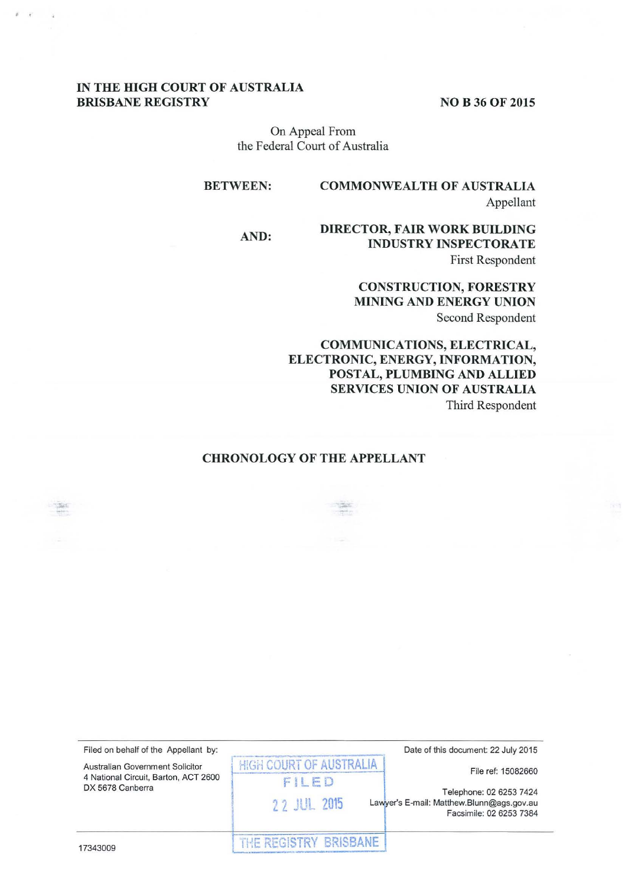## IN THE HIGH COURT OF AUSTRALIA BRISBANE REGISTRY NO B 36 OF 2015

 $\epsilon$ 

On Appeal From the Federal Court of Australia

BETWEEN: COMMONWEALTH OF AUSTRALIA Appellant

# AND: DIRECTOR, FAIR WORK BUILDING INDUSTRY INSPECTORATE First Respondent

# CONSTRUCTION, FORESTRY MINING AND ENERGY UNION Second Respondent

COMMUNICATIONS, ELECTRICAL, ELECTRONIC, ENERGY, INFORMATION, POSTAL, PLUMBING AND ALLIED SERVICES UNION OF AUSTRALIA Third Respondent

## CHRONOLOGY OF THE APPELLANT

| Filed on behalf of the Appellant by:<br>Australian Government Solicitor<br>4 National Circuit, Barton, ACT 2600<br>DX 5678 Canberra | Date of this document: 22 July 2015<br><b>HIGH COURT OF AUSTRALIA</b><br>File ref: 15082660                             |
|-------------------------------------------------------------------------------------------------------------------------------------|-------------------------------------------------------------------------------------------------------------------------|
|                                                                                                                                     | FILED<br>Telephone: 02 6253 7424<br>22 JUL 2015<br>Lawyer's E-mail: Matthew.Blunn@ags.gov.au<br>Facsimile: 02 6253 7384 |
| 17343009                                                                                                                            | THE REGISTRY BRISBANE                                                                                                   |